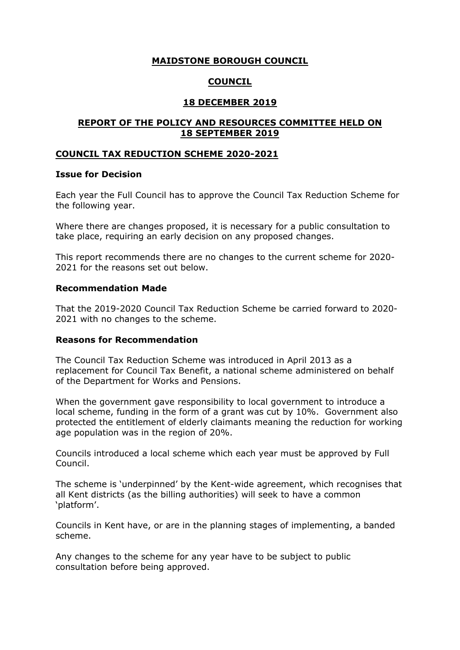# **MAIDSTONE BOROUGH COUNCIL**

# **COUNCIL**

## **18 DECEMBER 2019**

## **REPORT OF THE POLICY AND RESOURCES COMMITTEE HELD ON 18 SEPTEMBER 2019**

## **COUNCIL TAX REDUCTION SCHEME 2020-2021**

### **Issue for Decision**

Each year the Full Council has to approve the Council Tax Reduction Scheme for the following year.

Where there are changes proposed, it is necessary for a public consultation to take place, requiring an early decision on any proposed changes.

This report recommends there are no changes to the current scheme for 2020- 2021 for the reasons set out below.

## **Recommendation Made**

That the 2019-2020 Council Tax Reduction Scheme be carried forward to 2020- 2021 with no changes to the scheme.

### **Reasons for Recommendation**

The Council Tax Reduction Scheme was introduced in April 2013 as a replacement for Council Tax Benefit, a national scheme administered on behalf of the Department for Works and Pensions.

When the government gave responsibility to local government to introduce a local scheme, funding in the form of a grant was cut by 10%. Government also protected the entitlement of elderly claimants meaning the reduction for working age population was in the region of 20%.

Councils introduced a local scheme which each year must be approved by Full Council.

The scheme is 'underpinned' by the Kent-wide agreement, which recognises that all Kent districts (as the billing authorities) will seek to have a common 'platform'.

Councils in Kent have, or are in the planning stages of implementing, a banded scheme.

Any changes to the scheme for any year have to be subject to public consultation before being approved.